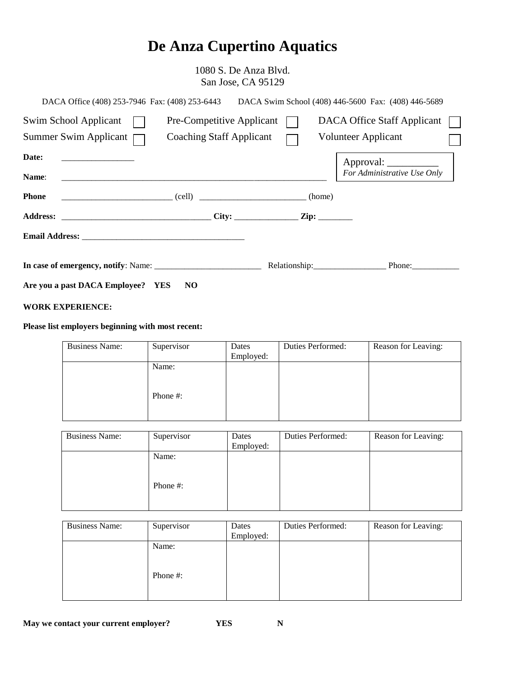# **De Anza Cupertino Aquatics**

1080 S. De Anza Blvd. San Jose, CA 95129

| DACA Office (408) 253-7946 Fax: (408) 253-6443                                                            |                                 |  |                     | DACA Swim School (408) 446-5600 Fax: (408) 446-5689    |  |
|-----------------------------------------------------------------------------------------------------------|---------------------------------|--|---------------------|--------------------------------------------------------|--|
| Swim School Applicant                                                                                     | Pre-Competitive Applicant       |  |                     | <b>DACA Office Staff Applicant</b>                     |  |
| Summer Swim Applicant $\Box$                                                                              | <b>Coaching Staff Applicant</b> |  | Volunteer Applicant |                                                        |  |
| Date:<br><u> 2000 - Jan Samuel Barbara, menyebara</u><br>Name:                                            |                                 |  |                     | Approval: _____________<br>For Administrative Use Only |  |
| <b>Phone</b><br>$\begin{array}{c} \hline \end{array}$ (cell) $\begin{array}{c} \hline \end{array}$ (nome) |                                 |  |                     |                                                        |  |
|                                                                                                           |                                 |  |                     |                                                        |  |
|                                                                                                           |                                 |  |                     |                                                        |  |
|                                                                                                           |                                 |  |                     |                                                        |  |
| Are you a past DACA Employee? YES                                                                         | N <sub>O</sub>                  |  |                     |                                                        |  |

#### **WORK EXPERIENCE:**

## **Please list employers beginning with most recent:**

| <b>Business Name:</b> | Supervisor        | Dates<br>Employed: | Duties Performed: | Reason for Leaving: |
|-----------------------|-------------------|--------------------|-------------------|---------------------|
|                       | Name:<br>Phone #: |                    |                   |                     |
|                       |                   |                    |                   |                     |

| <b>Business Name:</b> | Supervisor | Dates<br>Employed: | Duties Performed: | Reason for Leaving: |
|-----------------------|------------|--------------------|-------------------|---------------------|
|                       | Name:      |                    |                   |                     |
|                       | Phone #:   |                    |                   |                     |

| <b>Business Name:</b><br>Supervisor | Dates<br>Employed: | Duties Performed: | Reason for Leaving: |
|-------------------------------------|--------------------|-------------------|---------------------|
| Name:<br>Phone #:                   |                    |                   |                     |